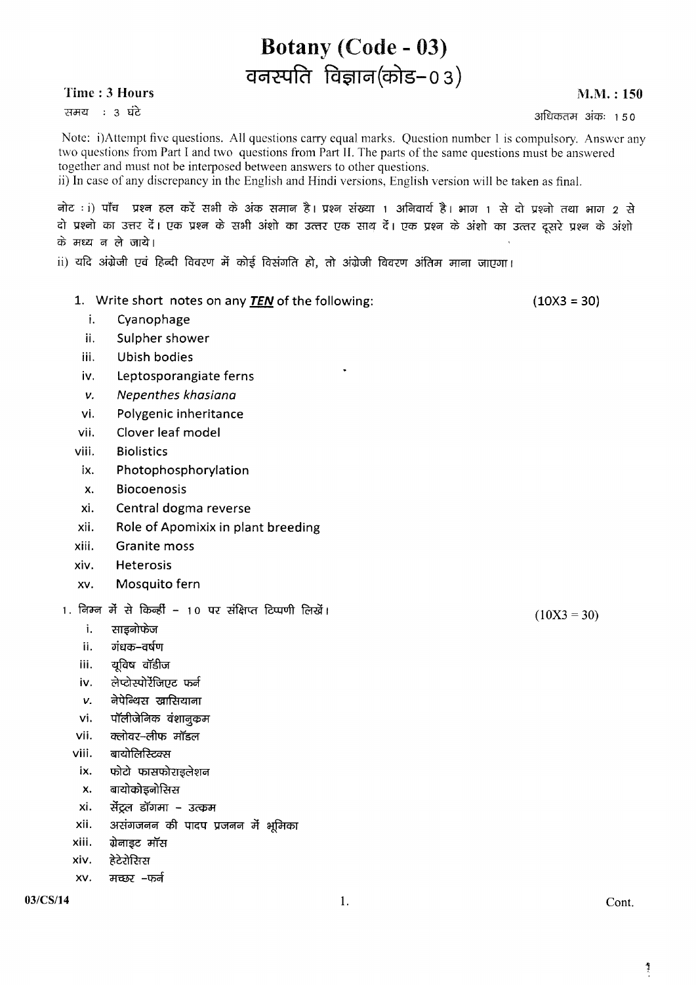## Time: 3 Hours

समय : 3 घंटे

 $M.M.: 150$ 

अधिकतम अंकः १५०

Note: i)Attempt five questions. All questions carry equal marks. Question number 1 is compulsory. Answer any two questions from Part I and two questions from Part II. The parts of the same questions must be answered together and must not be interposed between answers to other questions.

**Botany (Code - 03)** 

वनस्पति विज्ञान(कोड-03)

ii) In case of any discrepancy in the English and Hindi versions, English version will be taken as final.

नोट : i) पाँच प्रश्न हल करें सभी के अंक समान है। प्रश्न संख्या 1 अनिवार्य है। भाग 1 से दो प्रश्नो तथा भाग 2 से दो प्रश्नो का उत्तर दें। एक प्रश्न के सभी अंशो का उत्तर एक साथ दें। एक प्रश्न के अंशो का उत्तर दूसरे प्रश्न के अंशो के मध्य न ले जाये।

ii) यदि अंग्रेजी एवं हिन्दी विवरण में कोई विसंगति हो, तो अंग्रेजी विवरण अंतिम माना जाएगा।

|               | 1. Write short notes on any <b>TEN</b> of the following: |    | $(10X3 = 30)$ |
|---------------|----------------------------------------------------------|----|---------------|
| i.            | Cyanophage                                               |    |               |
| ii.           | Sulpher shower                                           |    |               |
| iii.          | <b>Ubish bodies</b>                                      |    |               |
| iv.           | Leptosporangiate ferns                                   | ٠  |               |
| ν.            | Nepenthes khasiana                                       |    |               |
| vi.           | Polygenic inheritance                                    |    |               |
| vii.          | Clover leaf model                                        |    |               |
| viii.         | <b>Biolistics</b>                                        |    |               |
| ix.           | Photophosphorylation                                     |    |               |
| X.            | <b>Biocoenosis</b>                                       |    |               |
| xi.           | Central dogma reverse                                    |    |               |
| xii.          | Role of Apomixix in plant breeding                       |    |               |
| xiii.         | <b>Granite moss</b>                                      |    |               |
| xiv.          | Heterosis                                                |    |               |
| XV.           | Mosquito fern                                            |    |               |
|               | 1. निम्न में से किन्हीं - 10 पर संक्षिप्त टिप्पणी लिखें। |    | $(10X3 = 30)$ |
| i.            | साइनोफेज                                                 |    |               |
| ii.           | गंधक–वर्षण                                               |    |               |
| iii.          | यूविष वॉडीज                                              |    |               |
| iv.           | लेप्टोस्पोरेंजिएट फर्न                                   |    |               |
| v.            | नेपेन्थिस खासियाना                                       |    |               |
| vi.           | पॉलीजेनिक वंशानुकम                                       |    |               |
| vii.          | क्लोवर-लीफ मॉडल                                          |    |               |
| viii.         | बायोलिस्टिक्स                                            |    |               |
| ix.           | फोटो फासफोराइलेशन                                        |    |               |
| X.            | बायोकोइनोसिस                                             |    |               |
| xi.           | सेंट्रल डॉगमा – उत्कम                                    |    |               |
| xii.<br>xiii. | असंगजनन की पादप प्रजनन में भूमिका<br>ग्रेनाइट मॉस        |    |               |
| xiv.          | हेटेरोसिस                                                |    |               |
| XV.           | मच्छर –फर्न                                              |    |               |
| 03/CS/14      |                                                          |    |               |
|               |                                                          | 1. | Cont.         |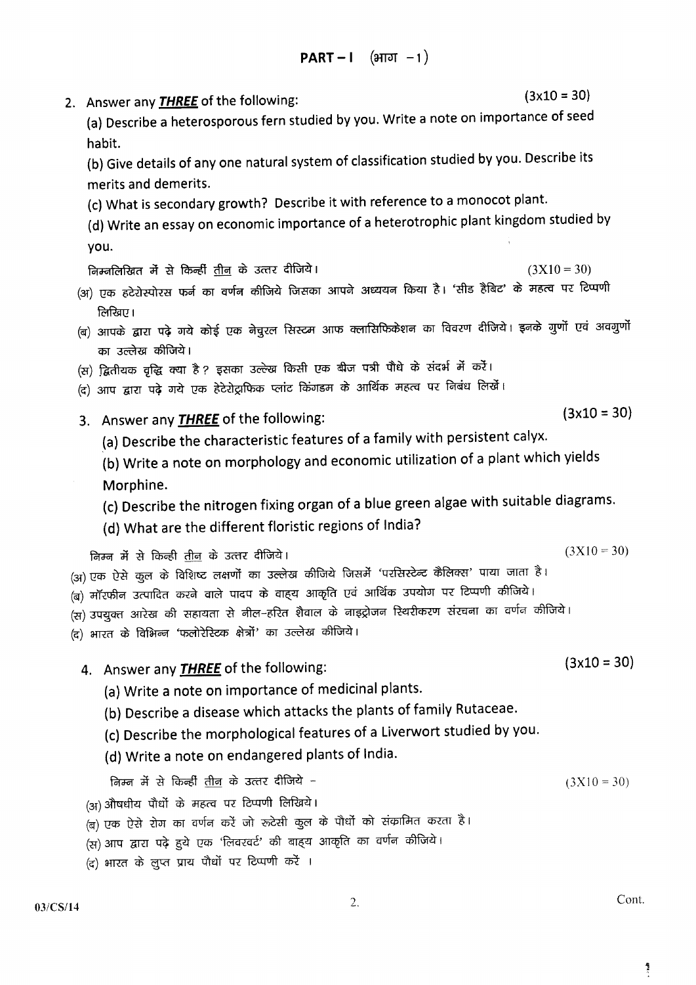$(3x10 = 30)$ 2. Answer any **THREE** of the following: (a) Describe a heterosporous fern studied by you. Write a note on importance of seed habit. (b) Give details of any one natural system of classification studied by you. Describe its merits and demerits. (c) What is secondary growth? Describe it with reference to a monocot plant. (d) Write an essay on economic importance of a heterotrophic plant kingdom studied by you.  $(3X10 = 30)$ निम्नलिखित में से किन्हीं <u>तीन</u> के उत्तर दीजिये। (अ) एक हटेरोस्पोरस फर्न का वर्णन कीजिये जिसका आपने अध्ययन किया है। 'सीड हैबिट' के महत्व पर टिप्पणी लिखिए। (ब) आपके द्वारा पढ़े गये कोई एक नेचुरल सिस्टम आफ क्लासिफिकेशन का विवरण दीजिये। इनके गुणों एवं अवगुणों का उल्लेख कीजिये। (स) द्वितीयक वृद्धि क्या है ? इसका उल्ल्ख किसी एक बीज पत्री पौधे के संदर्भ में करें। (द) आप द्वारा पढ़े गये एक हेटेरोट्राफिक प्लांट किंगडम के आर्थिक महत्व पर निबंध लिखें।  $(3x10 = 30)$ 3. Answer any **THREE** of the following: (a) Describe the characteristic features of a family with persistent calyx. (b) Write a note on morphology and economic utilization of a plant which yields Morphine. (c) Describe the nitrogen fixing organ of a blue green algae with suitable diagrams. (d) What are the different floristic regions of India?  $(3X10 = 30)$ निम्न में से किन्ही तीन के उत्तर दीजिये। (अ) एक ऐसे कुल के विशिष्ट लक्षणों का उल्लेख कीजिये जिसमें 'परसिस्टेन्ट कैलिक्स' पाया जाता है। (ब) मॉरफीन उत्पादित करने वाले पादप के वाह्य आकृति एवं आर्थिक उपयोग पर टिप्पणी कीजिये। (स) उपयुक्त आरेख की सहायता से नील–हरित शैवाल के नाइट्रोजन स्थिरीकरण संरचना का वर्णन कीजिये। (द) भारत के विभिन्न 'फलोरेस्टिक क्षेत्रों' का उल्लेख कीजिये।  $(3x10 = 30)$ 4. Answer any **THREE** of the following: (a) Write a note on importance of medicinal plants. (b) Describe a disease which attacks the plants of family Rutaceae. (c) Describe the morphological features of a Liverwort studied by you. (d) Write a note on endangered plants of India. निम्न में से किन्हीं तीन के उत्तर दीजिये –  $(3X10 = 30)$ (अ) औषधीय पौधों के महत्व पर टिप्पणी लिखिये। (ब) एक ऐसे रोग का वर्णन करें जो रूटेसी कुल के पौधों को संकामित करता है। (स) आप द्वारा पढ़े हुये एक 'लिवरवर्ट' की बाहय आकृति का वर्णन कीजिये। (द) भारत के लुप्त प्राय पौधों पर टिप्पणी करें ।